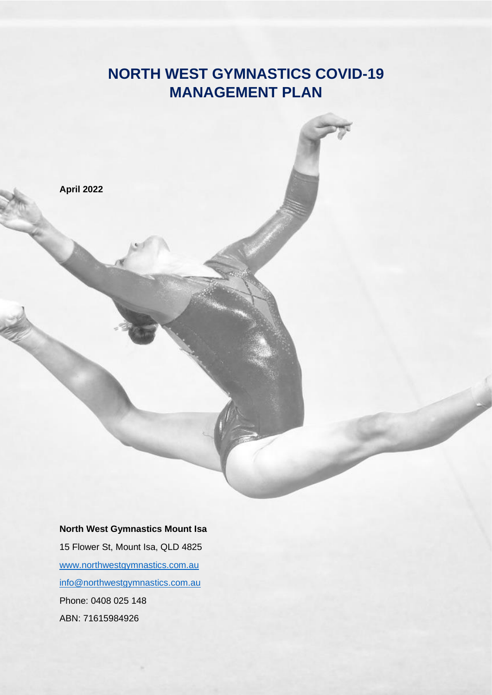# **NORTH WEST GYMNASTICS COVID-19 MANAGEMENT PLAN**



#### **North West Gymnastics Mount Isa**

15 Flower St, Mount Isa, QLD 4825 [www.northwestgymnastics.com.au](http://www.northwestgymnastics.com.au/) [info@northwestgymnastics.com.au](mailto:info@northwestgymnastics.com.au) Phone: 0408 025 148 ABN: 71615984926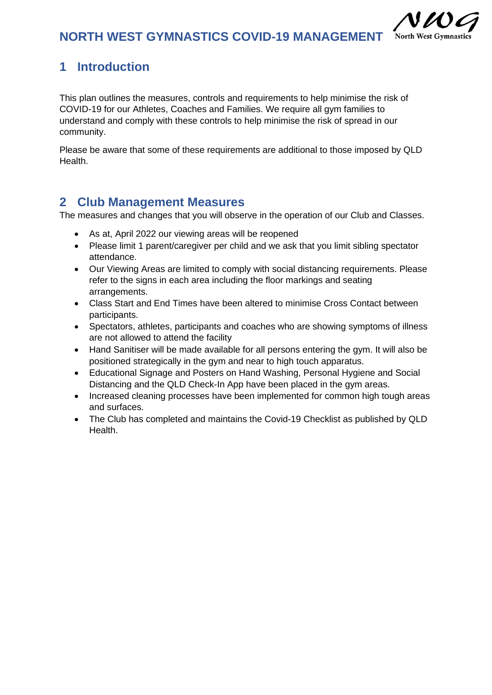

## **1 Introduction**

This plan outlines the measures, controls and requirements to help minimise the risk of COVID-19 for our Athletes, Coaches and Families. We require all gym families to understand and comply with these controls to help minimise the risk of spread in our community.

Please be aware that some of these requirements are additional to those imposed by QLD Health.

## **2 Club Management Measures**

The measures and changes that you will observe in the operation of our Club and Classes.

- As at, April 2022 our viewing areas will be reopened
- Please limit 1 parent/caregiver per child and we ask that you limit sibling spectator attendance.
- Our Viewing Areas are limited to comply with social distancing requirements. Please refer to the signs in each area including the floor markings and seating arrangements.
- Class Start and End Times have been altered to minimise Cross Contact between participants.
- Spectators, athletes, participants and coaches who are showing symptoms of illness are not allowed to attend the facility
- Hand Sanitiser will be made available for all persons entering the gym. It will also be positioned strategically in the gym and near to high touch apparatus.
- Educational Signage and Posters on Hand Washing, Personal Hygiene and Social Distancing and the QLD Check-In App have been placed in the gym areas.
- Increased cleaning processes have been implemented for common high tough areas and surfaces.
- The Club has completed and maintains the Covid-19 Checklist as published by QLD Health.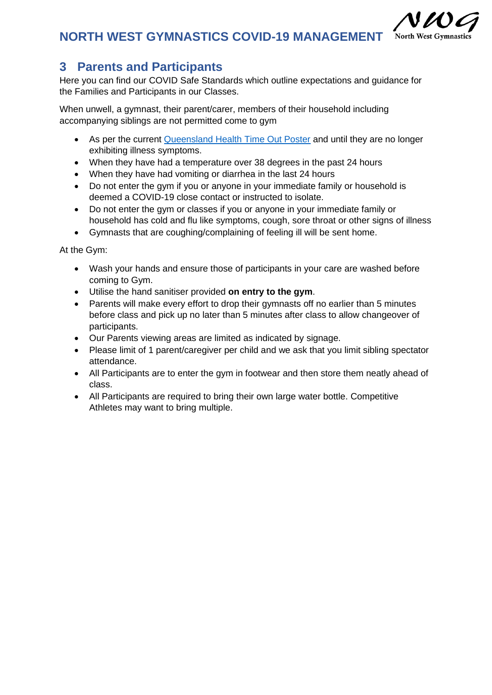#### **NORTH WEST GYMNASTICS COVID-19 MANAGEMENT North West Gymnastic**

## **3 Parents and Participants**

Here you can find our COVID Safe Standards which outline expectations and guidance for the Families and Participants in our Classes.

When unwell, a gymnast, their parent/carer, members of their household including accompanying siblings are not permitted come to gym

- As per the current [Queensland Health Time Out Poster](https://www.health.qld.gov.au/__data/assets/pdf_file/0022/426820/timeout_poster.pdf) and until they are no longer exhibiting illness symptoms.
- When they have had a temperature over 38 degrees in the past 24 hours
- When they have had vomiting or diarrhea in the last 24 hours
- Do not enter the gym if you or anyone in your immediate family or household is deemed a COVID-19 close contact or instructed to isolate.
- Do not enter the gym or classes if you or anyone in your immediate family or household has cold and flu like symptoms, cough, sore throat or other signs of illness

• Gymnasts that are coughing/complaining of feeling ill will be sent home.

At the Gym:

- Wash your hands and ensure those of participants in your care are washed before coming to Gym.
- Utilise the hand sanitiser provided **on entry to the gym**.
- Parents will make every effort to drop their gymnasts off no earlier than 5 minutes before class and pick up no later than 5 minutes after class to allow changeover of participants.
- Our Parents viewing areas are limited as indicated by signage.
- Please limit of 1 parent/caregiver per child and we ask that you limit sibling spectator attendance.
- All Participants are to enter the gym in footwear and then store them neatly ahead of class.
- All Participants are required to bring their own large water bottle. Competitive Athletes may want to bring multiple.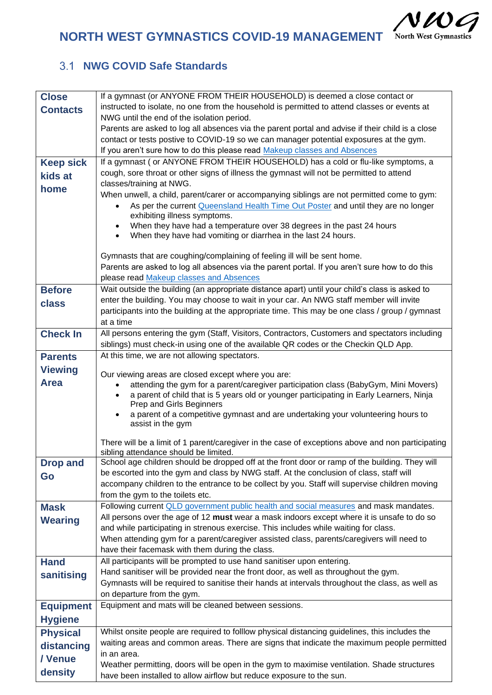$NUC$ 

**NORTH WEST GYMNASTICS COVID-19 MANAGEMENT** North West Gymnastics

### **NWG COVID Safe Standards**

| <b>Close</b>     | If a gymnast (or ANYONE FROM THEIR HOUSEHOLD) is deemed a close contact or                                                                |
|------------------|-------------------------------------------------------------------------------------------------------------------------------------------|
| <b>Contacts</b>  | instructed to isolate, no one from the household is permitted to attend classes or events at                                              |
|                  | NWG until the end of the isolation period.                                                                                                |
|                  | Parents are asked to log all absences via the parent portal and advise if their child is a close                                          |
|                  | contact or tests postive to COVID-19 so we can manager potential exposures at the gym.                                                    |
|                  | If you aren't sure how to do this please read Makeup classes and Absences                                                                 |
| <b>Keep sick</b> | If a gymnast (or ANYONE FROM THEIR HOUSEHOLD) has a cold or flu-like symptoms, a                                                          |
| kids at          | cough, sore throat or other signs of illness the gymnast will not be permitted to attend<br>classes/training at NWG.                      |
| home             | When unwell, a child, parent/carer or accompanying siblings are not permitted come to gym:                                                |
|                  | As per the current Queensland Health Time Out Poster and until they are no longer                                                         |
|                  | exhibiting illness symptoms.                                                                                                              |
|                  | When they have had a temperature over 38 degrees in the past 24 hours                                                                     |
|                  | When they have had vomiting or diarrhea in the last 24 hours.                                                                             |
|                  |                                                                                                                                           |
|                  | Gymnasts that are coughing/complaining of feeling ill will be sent home.                                                                  |
|                  | Parents are asked to log all absences via the parent portal. If you aren't sure how to do this<br>please read Makeup classes and Absences |
| <b>Before</b>    | Wait outside the building (an appropriate distance apart) until your child's class is asked to                                            |
|                  | enter the building. You may choose to wait in your car. An NWG staff member will invite                                                   |
| class            | participants into the building at the appropriate time. This may be one class / group / gymnast                                           |
|                  | at a time                                                                                                                                 |
| <b>Check In</b>  | All persons entering the gym (Staff, Visitors, Contractors, Customers and spectators including                                            |
|                  | siblings) must check-in using one of the available QR codes or the Checkin QLD App.                                                       |
| <b>Parents</b>   | At this time, we are not allowing spectators.                                                                                             |
| <b>Viewing</b>   | Our viewing areas are closed except where you are:                                                                                        |
| <b>Area</b>      | attending the gym for a parent/caregiver participation class (BabyGym, Mini Movers)                                                       |
|                  | a parent of child that is 5 years old or younger participating in Early Learners, Ninja                                                   |
|                  | Prep and Girls Beginners                                                                                                                  |
|                  | a parent of a competitive gymnast and are undertaking your volunteering hours to                                                          |
|                  | assist in the gym                                                                                                                         |
|                  | There will be a limit of 1 parent/caregiver in the case of exceptions above and non participating                                         |
|                  | sibling attendance should be limited.                                                                                                     |
| <b>Drop and</b>  | School age children should be dropped off at the front door or ramp of the building. They will                                            |
| Go               | be escorted into the gym and class by NWG staff. At the conclusion of class, staff will                                                   |
|                  | accompany children to the entrance to be collect by you. Staff will supervise children moving<br>from the gym to the toilets etc.         |
| <b>Mask</b>      | Following current QLD government public health and social measures and mask mandates.                                                     |
|                  | All persons over the age of 12 must wear a mask indoors except where it is unsafe to do so                                                |
| <b>Wearing</b>   | and while participating in strenous exercise. This includes while waiting for class.                                                      |
|                  | When attending gym for a parent/caregiver assisted class, parents/caregivers will need to                                                 |
|                  | have their facemask with them during the class.                                                                                           |
| <b>Hand</b>      | All participants will be prompted to use hand sanitiser upon entering.                                                                    |
| sanitising       | Hand sanitiser will be provided near the front door, as well as throughout the gym.                                                       |
|                  | Gymnasts will be required to sanitise their hands at intervals throughout the class, as well as                                           |
|                  | on departure from the gym.                                                                                                                |
| <b>Equipment</b> | Equipment and mats will be cleaned between sessions.                                                                                      |
| <b>Hygiene</b>   |                                                                                                                                           |
| <b>Physical</b>  | Whilst onsite people are required to folllow physical distancing guidelines, this includes the                                            |
| distancing       | waiting areas and common areas. There are signs that indicate the maximum people permitted                                                |
| / Venue          | in an area.                                                                                                                               |
| density          | Weather permitting, doors will be open in the gym to maximise ventilation. Shade structures                                               |
|                  | have been installed to allow airflow but reduce exposure to the sun.                                                                      |